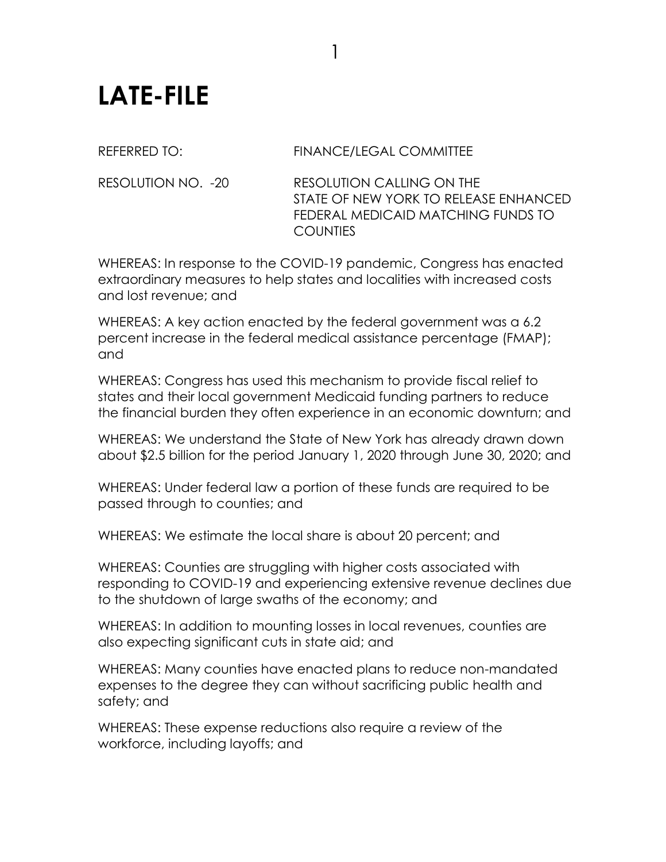## **LATE-FILE**

## REFERRED TO: FINANCE/LEGAL COMMITTEE

RESOLUTION NO. -20 RESOLUTION CALLING ON THE STATE OF NEW YORK TO RELEASE ENHANCED FEDERAL MEDICAID MATCHING FUNDS TO **COUNTIES** 

WHEREAS: In response to the COVID-19 pandemic, Congress has enacted extraordinary measures to help states and localities with increased costs and lost revenue; and

WHEREAS: A key action enacted by the federal government was a 6.2 percent increase in the federal medical assistance percentage (FMAP); and

WHEREAS: Congress has used this mechanism to provide fiscal relief to states and their local government Medicaid funding partners to reduce the financial burden they often experience in an economic downturn; and

WHEREAS: We understand the State of New York has already drawn down about \$2.5 billion for the period January 1, 2020 through June 30, 2020; and

WHEREAS: Under federal law a portion of these funds are required to be passed through to counties; and

WHEREAS: We estimate the local share is about 20 percent; and

WHEREAS: Counties are struggling with higher costs associated with responding to COVID-19 and experiencing extensive revenue declines due to the shutdown of large swaths of the economy; and

WHEREAS: In addition to mounting losses in local revenues, counties are also expecting significant cuts in state aid; and

WHEREAS: Many counties have enacted plans to reduce non-mandated expenses to the degree they can without sacrificing public health and safety; and

WHEREAS: These expense reductions also require a review of the workforce, including layoffs; and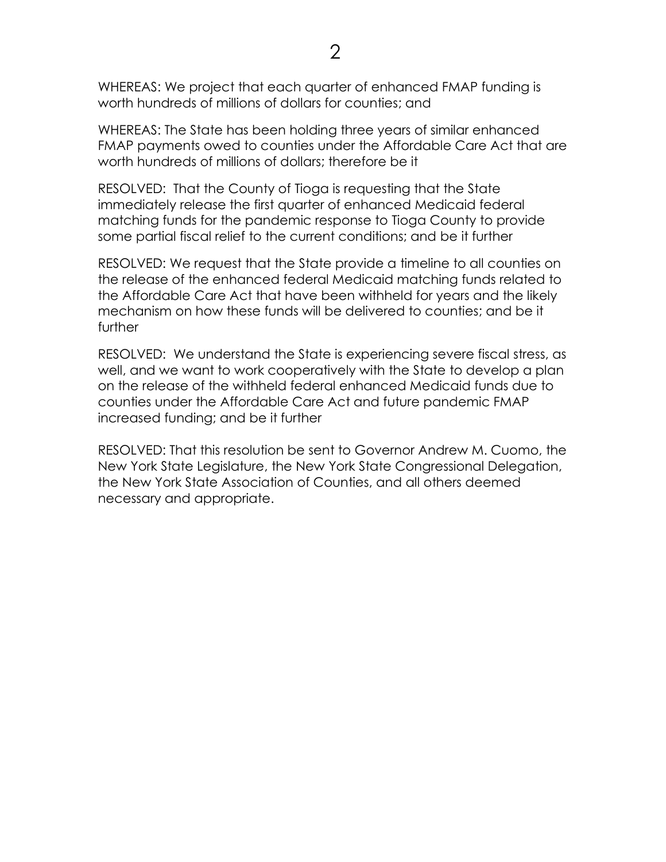WHEREAS: We project that each quarter of enhanced FMAP funding is worth hundreds of millions of dollars for counties; and

WHEREAS: The State has been holding three years of similar enhanced FMAP payments owed to counties under the Affordable Care Act that are worth hundreds of millions of dollars; therefore be it

RESOLVED: That the County of Tioga is requesting that the State immediately release the first quarter of enhanced Medicaid federal matching funds for the pandemic response to Tioga County to provide some partial fiscal relief to the current conditions; and be it further

RESOLVED: We request that the State provide a timeline to all counties on the release of the enhanced federal Medicaid matching funds related to the Affordable Care Act that have been withheld for years and the likely mechanism on how these funds will be delivered to counties; and be it further

RESOLVED: We understand the State is experiencing severe fiscal stress, as well, and we want to work cooperatively with the State to develop a plan on the release of the withheld federal enhanced Medicaid funds due to counties under the Affordable Care Act and future pandemic FMAP increased funding; and be it further

RESOLVED: That this resolution be sent to Governor Andrew M. Cuomo, the New York State Legislature, the New York State Congressional Delegation, the New York State Association of Counties, and all others deemed necessary and appropriate.